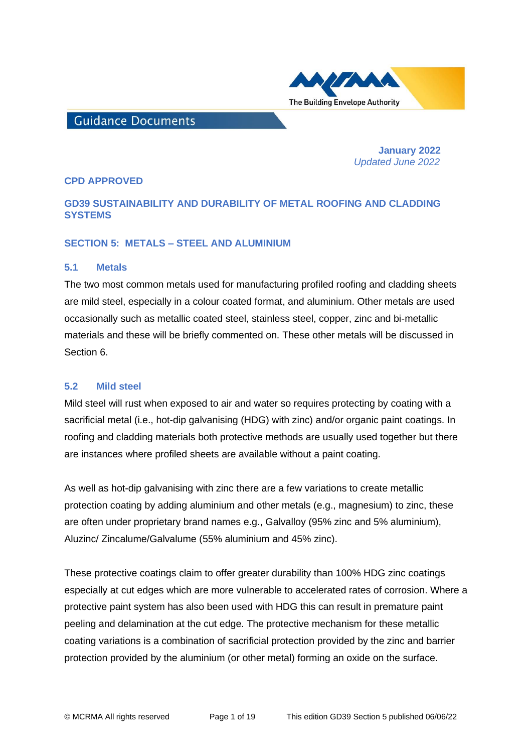

# **Guidance Documents**

 **January 2022**   *Updated June 2022*

## **CPD APPROVED**

## **GD39 SUSTAINABILITY AND DURABILITY OF METAL ROOFING AND CLADDING SYSTEMS**

## **SECTION 5: METALS – STEEL AND ALUMINIUM**

#### **5.1 Metals**

The two most common metals used for manufacturing profiled roofing and cladding sheets are mild steel, especially in a colour coated format, and aluminium. Other metals are used occasionally such as metallic coated steel, stainless steel, copper, zinc and bi-metallic materials and these will be briefly commented on. These other metals will be discussed in Section 6.

## **5.2 Mild steel**

Mild steel will rust when exposed to air and water so requires protecting by coating with a sacrificial metal (i.e., hot-dip galvanising (HDG) with zinc) and/or organic paint coatings. In roofing and cladding materials both protective methods are usually used together but there are instances where profiled sheets are available without a paint coating.

As well as hot-dip galvanising with zinc there are a few variations to create metallic protection coating by adding aluminium and other metals (e.g., magnesium) to zinc, these are often under proprietary brand names e.g., Galvalloy (95% zinc and 5% aluminium), Aluzinc/ Zincalume/Galvalume (55% aluminium and 45% zinc).

These protective coatings claim to offer greater durability than 100% HDG zinc coatings especially at cut edges which are more vulnerable to accelerated rates of corrosion. Where a protective paint system has also been used with HDG this can result in premature paint peeling and delamination at the cut edge. The protective mechanism for these metallic coating variations is a combination of sacrificial protection provided by the zinc and barrier protection provided by the aluminium (or other metal) forming an oxide on the surface.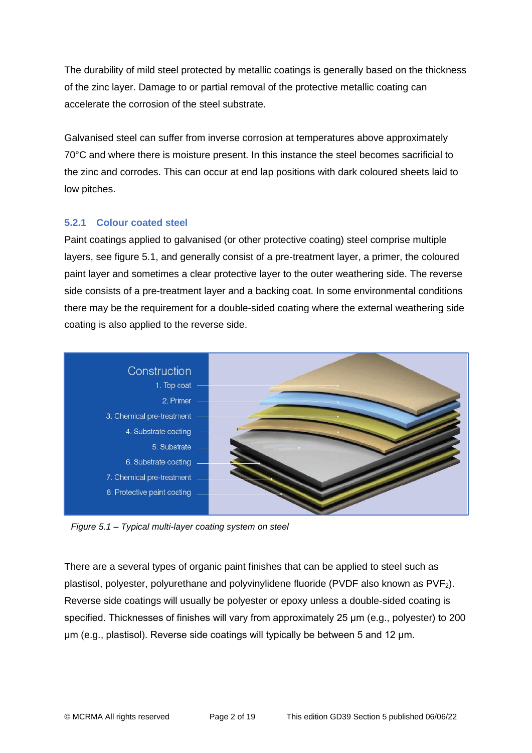The durability of mild steel protected by metallic coatings is generally based on the thickness of the zinc layer. Damage to or partial removal of the protective metallic coating can accelerate the corrosion of the steel substrate.

Galvanised steel can suffer from inverse corrosion at temperatures above approximately 70°C and where there is moisture present. In this instance the steel becomes sacrificial to the zinc and corrodes. This can occur at end lap positions with dark coloured sheets laid to low pitches.

## **5.2.1 Colour coated steel**

Paint coatings applied to galvanised (or other protective coating) steel comprise multiple layers, see figure 5.1, and generally consist of a pre-treatment layer, a primer, the coloured paint layer and sometimes a clear protective layer to the outer weathering side. The reverse side consists of a pre-treatment layer and a backing coat. In some environmental conditions there may be the requirement for a double-sided coating where the external weathering side coating is also applied to the reverse side.



*Figure 5.1 – Typical multi-layer coating system on steel*

There are a several types of organic paint finishes that can be applied to steel such as plastisol, polyester, polyurethane and polyvinylidene fluoride (PVDF also known as PVF2). Reverse side coatings will usually be polyester or epoxy unless a double-sided coating is specified. Thicknesses of finishes will vary from approximately 25 μm (e.g., polyester) to 200 μm (e.g., plastisol). Reverse side coatings will typically be between 5 and 12 μm.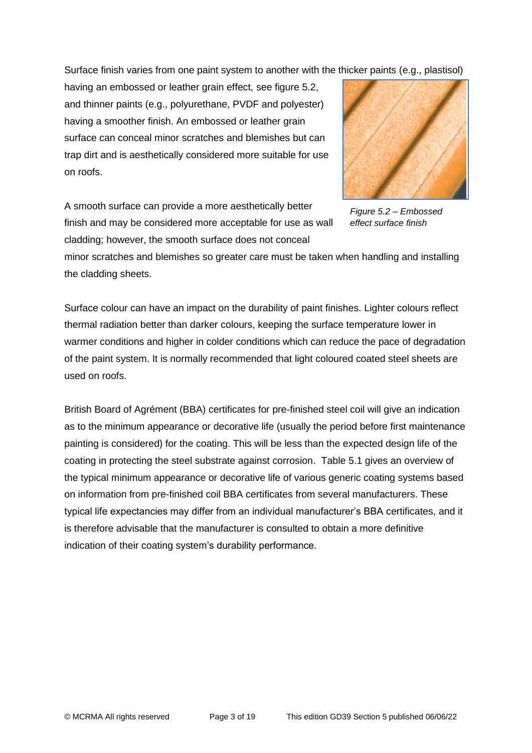Surface finish varies from one paint system to another with the thicker paints (e.g., plastisol)

having an embossed or leather grain effect, see figure 5.2, and thinner paints (e.g., polyurethane, PVDF and polyester) having a smoother finish. An embossed or leather grain surface can conceal minor scratches and blemishes but can trap dirt and is aesthetically considered more suitable for use on roofs.

A smooth surface can provide a more aesthetically better finish and may be considered more acceptable for use as wall cladding; however, the smooth surface does not conceal



*Figure 5.2 – Embossed effect surface finish*

minor scratches and blemishes so greater care must be taken when handling and installing the cladding sheets.

Surface colour can have an impact on the durability of paint finishes. Lighter colours reflect thermal radiation better than darker colours, keeping the surface temperature lower in warmer conditions and higher in colder conditions which can reduce the pace of degradation of the paint system. It is normally recommended that light coloured coated steel sheets are used on roofs.

British Board of Agrément (BBA) certificates for pre-finished steel coil will give an indication as to the minimum appearance or decorative life (usually the period before first maintenance painting is considered) for the coating. This will be less than the expected design life of the coating in protecting the steel substrate against corrosion. Table 5.1 gives an overview of the typical minimum appearance or decorative life of various generic coating systems based on information from pre-finished coil BBA certificates from several manufacturers. These typical life expectancies may differ from an individual manufacturer's BBA certificates, and it is therefore advisable that the manufacturer is consulted to obtain a more definitive indication of their coating system's durability performance.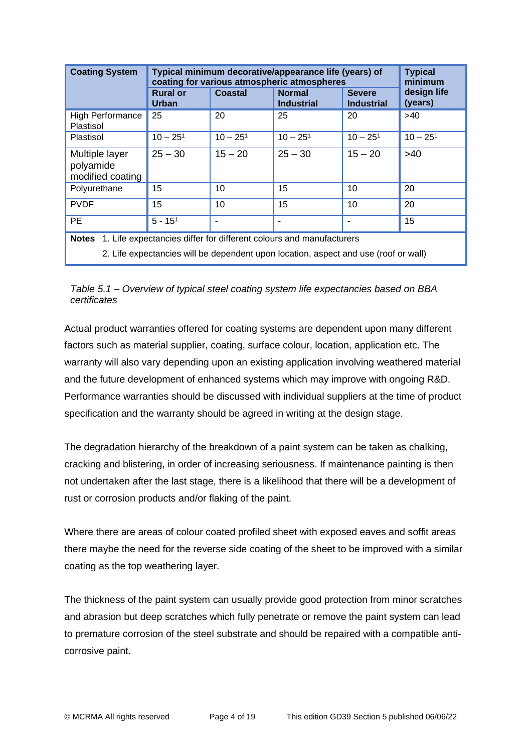| <b>Coating System</b>                                                               | Typical minimum decorative/appearance life (years) of<br>coating for various atmospheric atmospheres | <b>Typical</b><br>minimum |                                    |                                    |                        |  |  |
|-------------------------------------------------------------------------------------|------------------------------------------------------------------------------------------------------|---------------------------|------------------------------------|------------------------------------|------------------------|--|--|
|                                                                                     | <b>Rural or</b><br>Urban                                                                             | Coastal                   | <b>Normal</b><br><b>Industrial</b> | <b>Severe</b><br><b>Industrial</b> | design life<br>(years) |  |  |
| High Performance<br>Plastisol                                                       | 25                                                                                                   | 20                        | 25                                 | 20                                 | >40                    |  |  |
| Plastisol                                                                           | $10 - 251$                                                                                           | $10 - 251$                | $10 - 251$                         | $10 - 251$                         | $10 - 251$             |  |  |
| Multiple layer<br>polyamide<br>modified coating                                     | $25 - 30$                                                                                            | $15 - 20$                 | $25 - 30$                          | $15 - 20$                          | $>40$                  |  |  |
| Polyurethane                                                                        | 15                                                                                                   | 10                        | 15                                 | 10                                 | 20                     |  |  |
| <b>PVDF</b>                                                                         | 15                                                                                                   | 10                        | 15                                 | 10                                 | 20                     |  |  |
| PE.                                                                                 | $5 - 151$                                                                                            |                           |                                    |                                    | 15                     |  |  |
| 1. Life expectancies differ for different colours and manufacturers<br><b>Notes</b> |                                                                                                      |                           |                                    |                                    |                        |  |  |
| 2. Life expectancies will be dependent upon location, aspect and use (roof or wall) |                                                                                                      |                           |                                    |                                    |                        |  |  |

*Table 5.1 – Overview of typical steel coating system life expectancies based on BBA certificates*

Actual product warranties offered for coating systems are dependent upon many different factors such as material supplier, coating, surface colour, location, application etc. The warranty will also vary depending upon an existing application involving weathered material and the future development of enhanced systems which may improve with ongoing R&D. Performance warranties should be discussed with individual suppliers at the time of product specification and the warranty should be agreed in writing at the design stage.

The degradation hierarchy of the breakdown of a paint system can be taken as chalking, cracking and blistering, in order of increasing seriousness. If maintenance painting is then not undertaken after the last stage, there is a likelihood that there will be a development of rust or corrosion products and/or flaking of the paint.

Where there are areas of colour coated profiled sheet with exposed eaves and soffit areas there maybe the need for the reverse side coating of the sheet to be improved with a similar coating as the top weathering layer.

The thickness of the paint system can usually provide good protection from minor scratches and abrasion but deep scratches which fully penetrate or remove the paint system can lead to premature corrosion of the steel substrate and should be repaired with a compatible anticorrosive paint.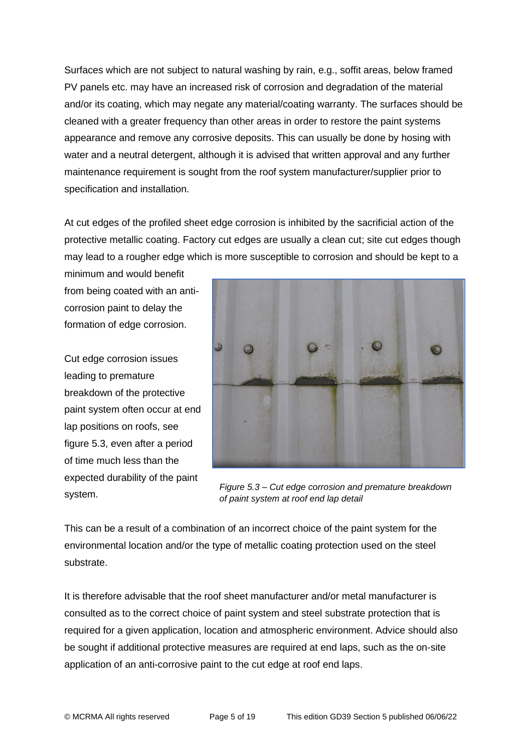Surfaces which are not subject to natural washing by rain, e.g., soffit areas, below framed PV panels etc. may have an increased risk of corrosion and degradation of the material and/or its coating, which may negate any material/coating warranty. The surfaces should be cleaned with a greater frequency than other areas in order to restore the paint systems appearance and remove any corrosive deposits. This can usually be done by hosing with water and a neutral detergent, although it is advised that written approval and any further maintenance requirement is sought from the roof system manufacturer/supplier prior to specification and installation.

At cut edges of the profiled sheet edge corrosion is inhibited by the sacrificial action of the protective metallic coating. Factory cut edges are usually a clean cut; site cut edges though may lead to a rougher edge which is more susceptible to corrosion and should be kept to a

minimum and would benefit from being coated with an anticorrosion paint to delay the formation of edge corrosion.

Cut edge corrosion issues leading to premature breakdown of the protective paint system often occur at end lap positions on roofs, see figure 5.3, even after a period of time much less than the expected durability of the paint system.



*Figure 5.3 – Cut edge corrosion and premature breakdown of paint system at roof end lap detail*

This can be a result of a combination of an incorrect choice of the paint system for the environmental location and/or the type of metallic coating protection used on the steel substrate.

It is therefore advisable that the roof sheet manufacturer and/or metal manufacturer is consulted as to the correct choice of paint system and steel substrate protection that is required for a given application, location and atmospheric environment. Advice should also be sought if additional protective measures are required at end laps, such as the on-site application of an anti-corrosive paint to the cut edge at roof end laps.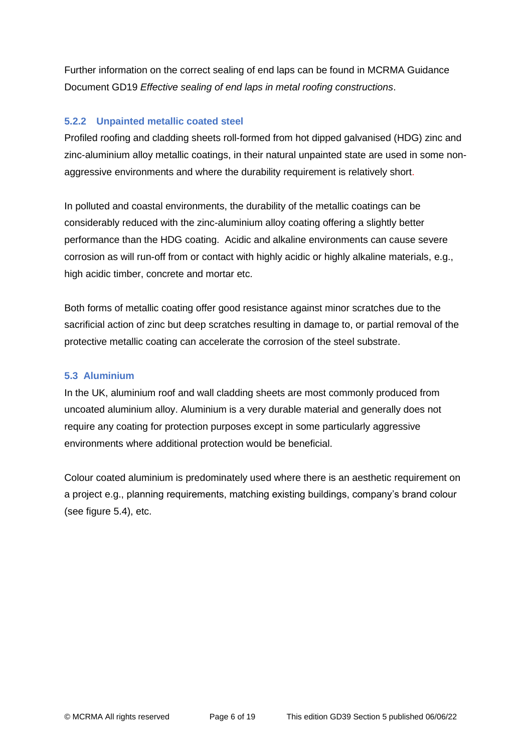Further information on the correct sealing of end laps can be found in MCRMA Guidance Document GD19 *Effective sealing of end laps in metal roofing constructions*.

# **5.2.2 Unpainted metallic coated steel**

Profiled roofing and cladding sheets roll-formed from hot dipped galvanised (HDG) zinc and zinc-aluminium alloy metallic coatings, in their natural unpainted state are used in some nonaggressive environments and where the durability requirement is relatively short.

In polluted and coastal environments, the durability of the metallic coatings can be considerably reduced with the zinc-aluminium alloy coating offering a slightly better performance than the HDG coating. Acidic and alkaline environments can cause severe corrosion as will run-off from or contact with highly acidic or highly alkaline materials, e.g., high acidic timber, concrete and mortar etc.

Both forms of metallic coating offer good resistance against minor scratches due to the sacrificial action of zinc but deep scratches resulting in damage to, or partial removal of the protective metallic coating can accelerate the corrosion of the steel substrate.

## **5.3 Aluminium**

In the UK, aluminium roof and wall cladding sheets are most commonly produced from uncoated aluminium alloy. Aluminium is a very durable material and generally does not require any coating for protection purposes except in some particularly aggressive environments where additional protection would be beneficial.

Colour coated aluminium is predominately used where there is an aesthetic requirement on a project e.g., planning requirements, matching existing buildings, company's brand colour (see figure 5.4), etc.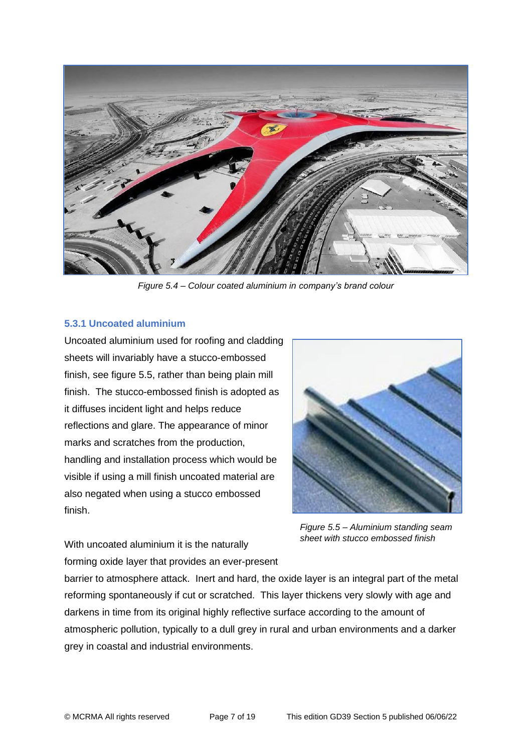

*Figure 5.4 – Colour coated aluminium in company's brand colour*

## **5.3.1 Uncoated aluminium**

Uncoated aluminium used for roofing and cladding sheets will invariably have a stucco-embossed finish, see figure 5.5, rather than being plain mill finish. The stucco-embossed finish is adopted as it diffuses incident light and helps reduce reflections and glare. The appearance of minor marks and scratches from the production, handling and installation process which would be visible if using a mill finish uncoated material are also negated when using a stucco embossed finish.



*Figure 5.5 – Aluminium standing seam sheet with stucco embossed finish*

With uncoated aluminium it is the naturally forming oxide layer that provides an ever-present

barrier to atmosphere attack. Inert and hard, the oxide layer is an integral part of the metal reforming spontaneously if cut or scratched. This layer thickens very slowly with age and darkens in time from its original highly reflective surface according to the amount of atmospheric pollution, typically to a dull grey in rural and urban environments and a darker grey in coastal and industrial environments.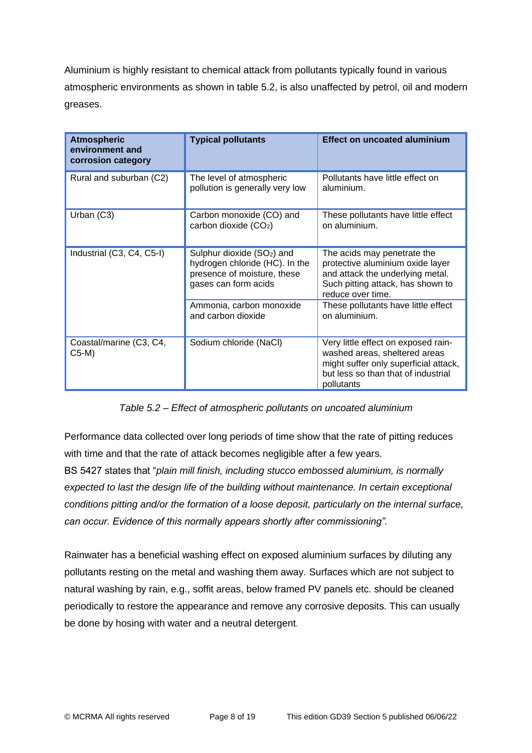Aluminium is highly resistant to chemical attack from pollutants typically found in various atmospheric environments as shown in table 5.2, is also unaffected by petrol, oil and modern greases.

| <b>Atmospheric</b><br>environment and<br>corrosion category | <b>Typical pollutants</b>                                                                                                       | <b>Effect on uncoated aluminium</b>                                                                                                                                |  |
|-------------------------------------------------------------|---------------------------------------------------------------------------------------------------------------------------------|--------------------------------------------------------------------------------------------------------------------------------------------------------------------|--|
| Rural and suburban (C2)                                     | The level of atmospheric<br>pollution is generally very low                                                                     | Pollutants have little effect on<br>aluminium.                                                                                                                     |  |
| Urban (C3)                                                  | Carbon monoxide (CO) and<br>carbon dioxide $(CO2)$                                                                              | These pollutants have little effect<br>on aluminium.                                                                                                               |  |
| Industrial (C3, C4, C5-I)                                   | Sulphur dioxide (SO <sub>2</sub> ) and<br>hydrogen chloride (HC). In the<br>presence of moisture, these<br>gases can form acids | The acids may penetrate the<br>protective aluminium oxide layer<br>and attack the underlying metal.<br>Such pitting attack, has shown to<br>reduce over time.      |  |
|                                                             | Ammonia, carbon monoxide<br>and carbon dioxide                                                                                  | These pollutants have little effect<br>on aluminium.                                                                                                               |  |
| Coastal/marine (C3, C4,<br>C5-M)                            | Sodium chloride (NaCl)                                                                                                          | Very little effect on exposed rain-<br>washed areas, sheltered areas<br>might suffer only superficial attack,<br>but less so than that of industrial<br>pollutants |  |

*Table 5.2 – Effect of atmospheric pollutants on uncoated aluminium*

Performance data collected over long periods of time show that the rate of pitting reduces with time and that the rate of attack becomes negligible after a few years.

BS 5427 states that "*plain mill finish, including stucco embossed aluminium, is normally expected to last the design life of the building without maintenance. In certain exceptional conditions pitting and/or the formation of a loose deposit, particularly on the internal surface, can occur. Evidence of this normally appears shortly after commissioning".*

Rainwater has a beneficial washing effect on exposed aluminium surfaces by diluting any pollutants resting on the metal and washing them away. Surfaces which are not subject to natural washing by rain, e.g., soffit areas, below framed PV panels etc. should be cleaned periodically to restore the appearance and remove any corrosive deposits. This can usually be done by hosing with water and a neutral detergent*.*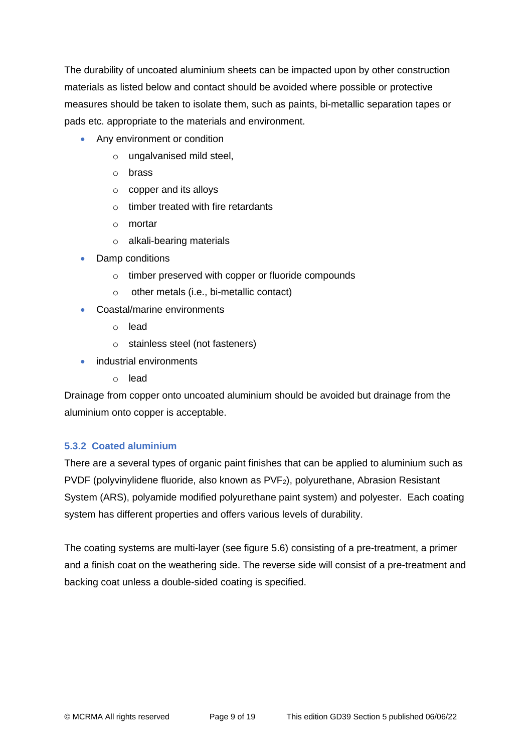The durability of uncoated aluminium sheets can be impacted upon by other construction materials as listed below and contact should be avoided where possible or protective measures should be taken to isolate them, such as paints, bi-metallic separation tapes or pads etc. appropriate to the materials and environment.

- Any environment or condition
	- o ungalvanised mild steel,
	- o brass
	- o copper and its alloys
	- $\circ$  timber treated with fire retardants
	- o mortar
	- o alkali-bearing materials
- Damp conditions
	- o timber preserved with copper or fluoride compounds
	- o other metals (i.e., bi-metallic contact)
- Coastal/marine environments
	- o lead
	- o stainless steel (not fasteners)
- industrial environments
	- o lead

Drainage from copper onto uncoated aluminium should be avoided but drainage from the aluminium onto copper is acceptable.

# **5.3.2 Coated aluminium**

There are a several types of organic paint finishes that can be applied to aluminium such as PVDF (polyvinylidene fluoride, also known as  $PVF<sub>2</sub>$ ), polyurethane, Abrasion Resistant System (ARS), polyamide modified polyurethane paint system) and polyester. Each coating system has different properties and offers various levels of durability.

The coating systems are multi-layer (see figure 5.6) consisting of a pre-treatment, a primer and a finish coat on the weathering side. The reverse side will consist of a pre-treatment and backing coat unless a double-sided coating is specified.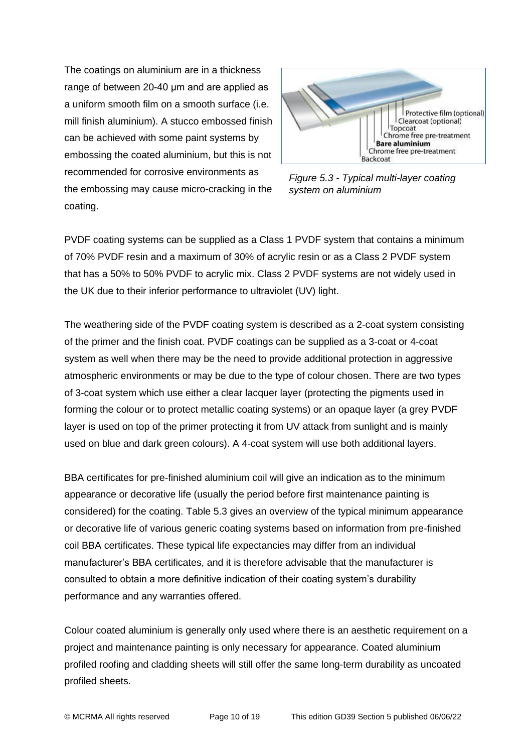The coatings on aluminium are in a thickness range of between 20-40 μm and are applied as a uniform smooth film on a smooth surface (i.e. mill finish aluminium). A stucco embossed finish can be achieved with some paint systems by embossing the coated aluminium, but this is not recommended for corrosive environments as the embossing may cause micro-cracking in the coating.



*Figure 5.3 - Typical multi-layer coating system on aluminium* 

PVDF coating systems can be supplied as a Class 1 PVDF system that contains a minimum of 70% PVDF resin and a maximum of 30% of acrylic resin or as a Class 2 PVDF system that has a 50% to 50% PVDF to acrylic mix. Class 2 PVDF systems are not widely used in the UK due to their inferior performance to ultraviolet (UV) light.

The weathering side of the PVDF coating system is described as a 2-coat system consisting of the primer and the finish coat. PVDF coatings can be supplied as a 3-coat or 4-coat system as well when there may be the need to provide additional protection in aggressive atmospheric environments or may be due to the type of colour chosen. There are two types of 3-coat system which use either a clear lacquer layer (protecting the pigments used in forming the colour or to protect metallic coating systems) or an opaque layer (a grey PVDF layer is used on top of the primer protecting it from UV attack from sunlight and is mainly used on blue and dark green colours). A 4-coat system will use both additional layers.

BBA certificates for pre-finished aluminium coil will give an indication as to the minimum appearance or decorative life (usually the period before first maintenance painting is considered) for the coating. Table 5.3 gives an overview of the typical minimum appearance or decorative life of various generic coating systems based on information from pre-finished coil BBA certificates. These typical life expectancies may differ from an individual manufacturer's BBA certificates, and it is therefore advisable that the manufacturer is consulted to obtain a more definitive indication of their coating system's durability performance and any warranties offered.

Colour coated aluminium is generally only used where there is an aesthetic requirement on a project and maintenance painting is only necessary for appearance. Coated aluminium profiled roofing and cladding sheets will still offer the same long-term durability as uncoated profiled sheets.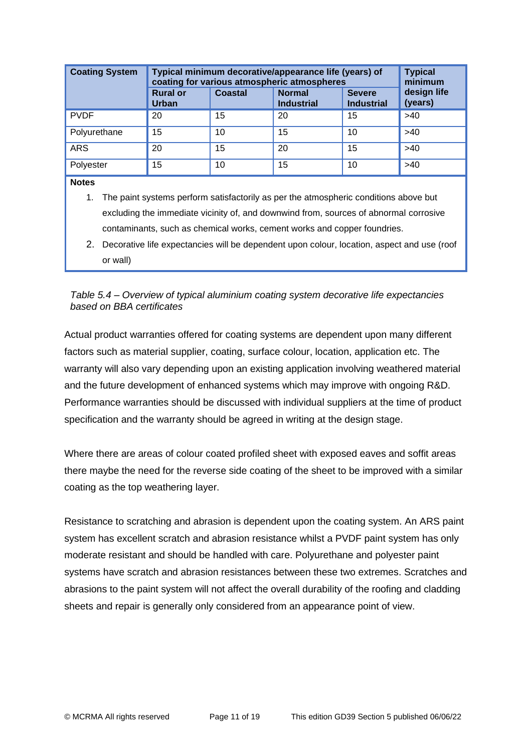| <b>Coating System</b> | Typical minimum decorative/appearance life (years) of<br>coating for various atmospheric atmospheres | <b>Typical</b><br>minimum |                                    |                                    |                        |
|-----------------------|------------------------------------------------------------------------------------------------------|---------------------------|------------------------------------|------------------------------------|------------------------|
|                       | <b>Rural or</b><br><b>Urban</b>                                                                      | <b>Coastal</b>            | <b>Normal</b><br><b>Industrial</b> | <b>Severe</b><br><b>Industrial</b> | design life<br>(years) |
| <b>PVDF</b>           | 20                                                                                                   | 15                        | 20                                 | 15                                 | >40                    |
| Polyurethane          | 15                                                                                                   | 10                        | 15                                 | 10                                 | >40                    |
| <b>ARS</b>            | 20                                                                                                   | 15                        | 20                                 | 15                                 | >40                    |
| Polyester             | 15                                                                                                   | 10                        | 15                                 | 10                                 | >40                    |
| <b>Notes</b>          |                                                                                                      |                           |                                    |                                    |                        |

- 1. The paint systems perform satisfactorily as per the atmospheric conditions above but excluding the immediate vicinity of, and downwind from, sources of abnormal corrosive contaminants, such as chemical works, cement works and copper foundries.
- 2. Decorative life expectancies will be dependent upon colour, location, aspect and use (roof or wall)

*Table 5.4 – Overview of typical aluminium coating system decorative life expectancies based on BBA certificates*

Actual product warranties offered for coating systems are dependent upon many different factors such as material supplier, coating, surface colour, location, application etc. The warranty will also vary depending upon an existing application involving weathered material and the future development of enhanced systems which may improve with ongoing R&D. Performance warranties should be discussed with individual suppliers at the time of product specification and the warranty should be agreed in writing at the design stage.

Where there are areas of colour coated profiled sheet with exposed eaves and soffit areas there maybe the need for the reverse side coating of the sheet to be improved with a similar coating as the top weathering layer.

Resistance to scratching and abrasion is dependent upon the coating system. An ARS paint system has excellent scratch and abrasion resistance whilst a PVDF paint system has only moderate resistant and should be handled with care. Polyurethane and polyester paint systems have scratch and abrasion resistances between these two extremes. Scratches and abrasions to the paint system will not affect the overall durability of the roofing and cladding sheets and repair is generally only considered from an appearance point of view.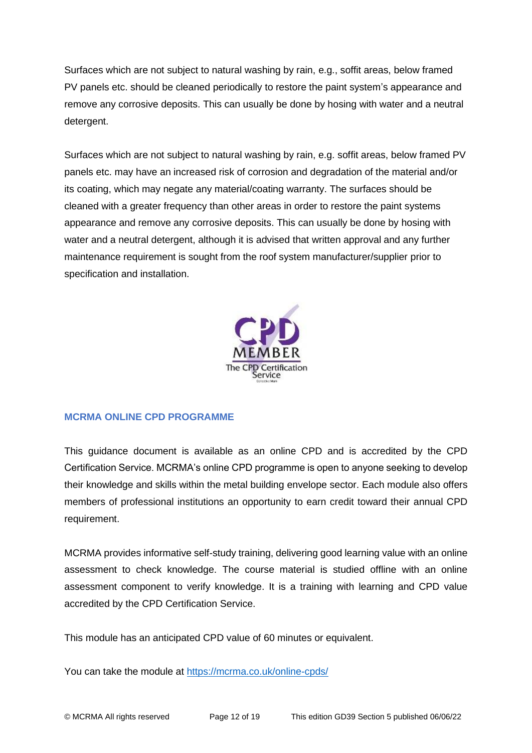Surfaces which are not subject to natural washing by rain, e.g., soffit areas, below framed PV panels etc. should be cleaned periodically to restore the paint system's appearance and remove any corrosive deposits. This can usually be done by hosing with water and a neutral detergent.

Surfaces which are not subject to natural washing by rain, e.g. soffit areas, below framed PV panels etc. may have an increased risk of corrosion and degradation of the material and/or its coating, which may negate any material/coating warranty. The surfaces should be cleaned with a greater frequency than other areas in order to restore the paint systems appearance and remove any corrosive deposits. This can usually be done by hosing with water and a neutral detergent, although it is advised that written approval and any further maintenance requirement is sought from the roof system manufacturer/supplier prior to specification and installation.



# **MCRMA ONLINE CPD PROGRAMME**

This guidance document is available as an online CPD and is accredited by the CPD Certification Service. MCRMA's online CPD programme is open to anyone seeking to develop their knowledge and skills within the metal building envelope sector. Each module also offers members of professional institutions an opportunity to earn credit toward their annual CPD requirement.

MCRMA provides informative self-study training, delivering good learning value with an online assessment to check knowledge. The course material is studied offline with an online assessment component to verify knowledge. It is a training with learning and CPD value accredited by the CPD Certification Service.

This module has an anticipated CPD value of 60 minutes or equivalent.

You can take the module at<https://mcrma.co.uk/online-cpds/>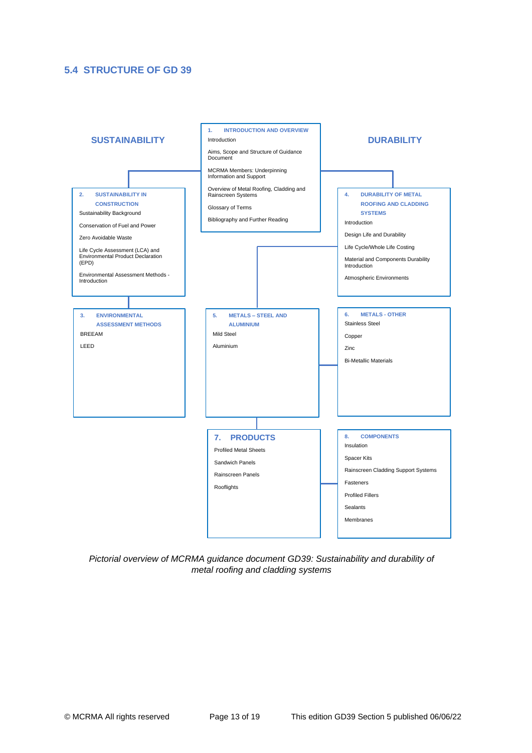## **5.4 STRUCTURE OF GD 39**



*Pictorial overview of MCRMA guidance document GD39: Sustainability and durability of metal roofing and cladding systems*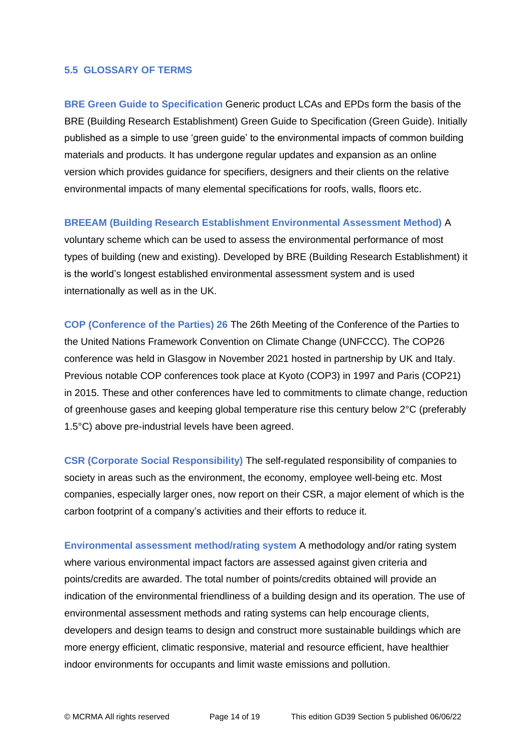#### **5.5 GLOSSARY OF TERMS**

**BRE Green Guide to Specification** Generic product LCAs and EPDs form the basis of the BRE (Building Research Establishment) Green Guide to Specification (Green Guide). Initially published as a simple to use 'green guide' to the environmental impacts of common building materials and products. It has undergone regular updates and expansion as an online version which provides guidance for specifiers, designers and their clients on the relative environmental impacts of many elemental specifications for roofs, walls, floors etc.

#### **BREEAM (Building Research Establishment Environmental Assessment Method)** A

voluntary scheme which can be used to assess the environmental performance of most types of building (new and existing). Developed by BRE (Building Research Establishment) it is the world's longest established environmental assessment system and is used internationally as well as in the UK.

**COP (Conference of the Parties) 26** The 26th Meeting of the Conference of the Parties to the United Nations Framework Convention on Climate Change (UNFCCC). The COP26 conference was held in Glasgow in November 2021 hosted in partnership by UK and Italy. Previous notable COP conferences took place at Kyoto (COP3) in 1997 and Paris (COP21) in 2015. These and other conferences have led to commitments to climate change, reduction of greenhouse gases and keeping global temperature rise this century below 2°C (preferably 1.5°C) above pre-industrial levels have been agreed.

**CSR (Corporate Social Responsibility)** The self-regulated responsibility of companies to society in areas such as the environment, the economy, employee well-being etc. Most companies, especially larger ones, now report on their CSR, a major element of which is the carbon footprint of a company's activities and their efforts to reduce it.

**Environmental assessment method/rating system** A methodology and/or rating system where various environmental impact factors are assessed against given criteria and points/credits are awarded. The total number of points/credits obtained will provide an indication of the environmental friendliness of a building design and its operation. The use of environmental assessment methods and rating systems can help encourage clients, developers and design teams to design and construct more sustainable buildings which are more energy efficient, climatic responsive, material and resource efficient, have healthier indoor environments for occupants and limit waste emissions and pollution.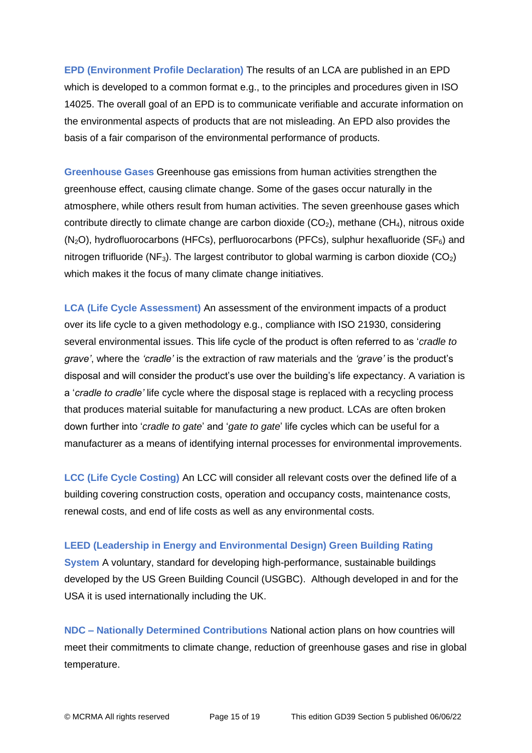**EPD (Environment Profile Declaration)** The results of an LCA are published in an EPD which is developed to a common format e.g., to the principles and procedures given in ISO 14025. The overall goal of an EPD is to communicate verifiable and accurate information on the environmental aspects of products that are not misleading. An EPD also provides the basis of a fair comparison of the environmental performance of products.

**Greenhouse Gases** Greenhouse gas emissions from human activities strengthen the greenhouse effect, causing climate change. Some of the gases occur naturally in the atmosphere, while others result from human activities. The seven greenhouse gases which contribute directly to climate change are carbon dioxide  $(CO<sub>2</sub>)$ , methane  $(CH<sub>4</sub>)$ , nitrous oxide  $(N<sub>2</sub>O)$ , hydrofluorocarbons (HFCs), perfluorocarbons (PFCs), sulphur hexafluoride (SF $_6$ ) and nitrogen trifluoride (NF<sub>3</sub>). The largest contributor to global warming is carbon dioxide (CO<sub>2</sub>) which makes it the focus of many climate change initiatives.

**LCA (Life Cycle Assessment)** An assessment of the environment impacts of a product over its life cycle to a given methodology e.g., compliance with ISO 21930, considering several environmental issues. This life cycle of the product is often referred to as '*cradle to grave'*, where the *'cradle'* is the extraction of raw materials and the *'grave'* is the product's disposal and will consider the product's use over the building's life expectancy. A variation is a '*cradle to cradle'* life cycle where the disposal stage is replaced with a recycling process that produces material suitable for manufacturing a new product. LCAs are often broken down further into '*cradle to gate*' and '*gate to gate*' life cycles which can be useful for a manufacturer as a means of identifying internal processes for environmental improvements.

**LCC (Life Cycle Costing)** An LCC will consider all relevant costs over the defined life of a building covering construction costs, operation and occupancy costs, maintenance costs, renewal costs, and end of life costs as well as any environmental costs.

#### **LEED (Leadership in Energy and Environmental Design) Green Building Rating**

**System** A voluntary, standard for developing high-performance, sustainable buildings developed by the US Green Building Council (USGBC). Although developed in and for the USA it is used internationally including the UK.

**NDC – Nationally Determined Contributions** National action plans on how countries will meet their commitments to climate change, reduction of greenhouse gases and rise in global temperature.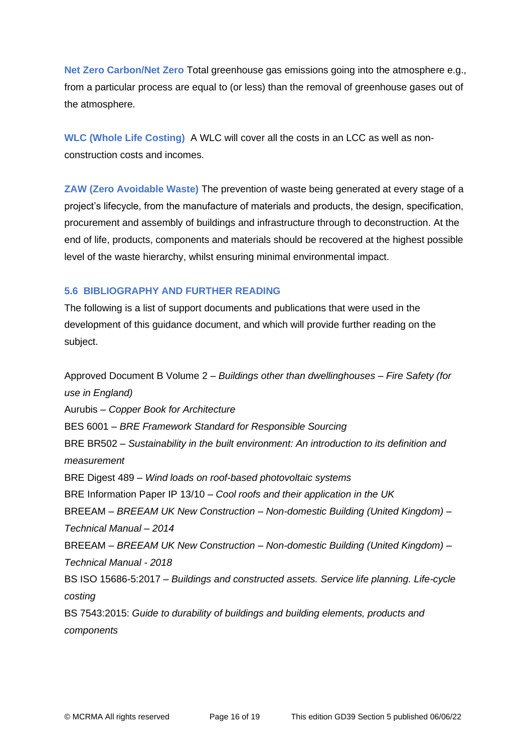**Net Zero Carbon/Net Zero** Total greenhouse gas emissions going into the atmosphere e.g., from a particular process are equal to (or less) than the removal of greenhouse gases out of the atmosphere.

**WLC (Whole Life Costing)** A WLC will cover all the costs in an LCC as well as nonconstruction costs and incomes.

**ZAW (Zero Avoidable Waste)** The prevention of waste being generated at every stage of a project's lifecycle, from the manufacture of materials and products, the design, specification, procurement and assembly of buildings and infrastructure through to deconstruction. At the end of life, products, components and materials should be recovered at the highest possible level of the waste hierarchy, whilst ensuring minimal environmental impact.

## **5.6 BIBLIOGRAPHY AND FURTHER READING**

The following is a list of support documents and publications that were used in the development of this guidance document, and which will provide further reading on the subject.

Approved Document B Volume 2 – *Buildings other than dwellinghouses – Fire Safety (for use in England)* Aurubis – *Copper Book for Architecture* BES 6001 – *BRE Framework Standard for Responsible Sourcing* BRE BR502 – *Sustainability in the built environment: An introduction to its definition and measurement* BRE Digest 489 – *Wind loads on roof-based photovoltaic systems* BRE Information Paper IP 13/10 – *Cool roofs and their application in the UK* BREEAM – *BREEAM UK New Construction – Non-domestic Building (United Kingdom) – Technical Manual – 2014* BREEAM – *BREEAM UK New Construction – Non-domestic Building (United Kingdom) – Technical Manual - 2018* BS ISO 15686-5:2017 – *Buildings and constructed assets. Service life planning. Life-cycle costing* BS 7543:2015: *Guide to durability of buildings and building elements, products and components*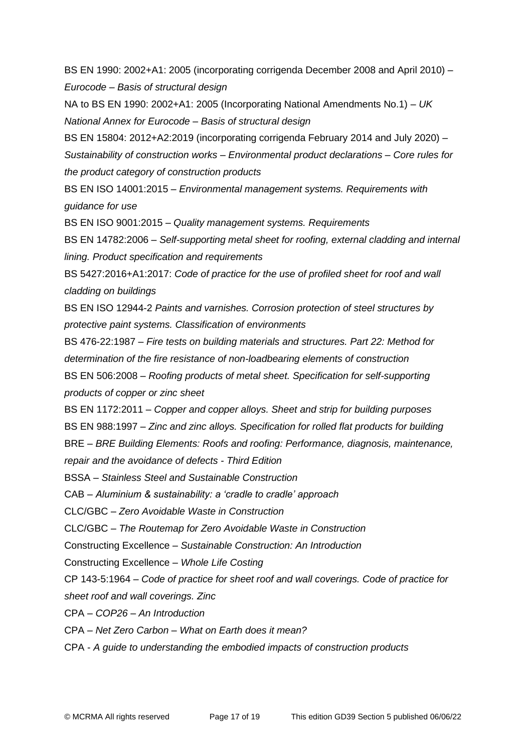BS EN 1990: 2002+A1: 2005 (incorporating corrigenda December 2008 and April 2010) – *Eurocode – Basis of structural design*

NA to BS EN 1990: 2002+A1: 2005 (Incorporating National Amendments No.1) – *UK National Annex for Eurocode – Basis of structural design*

BS EN 15804: 2012+A2:2019 (incorporating corrigenda February 2014 and July 2020) –

*Sustainability of construction works – Environmental product declarations – Core rules for the product category of construction products*

BS EN ISO 14001:2015 – *Environmental management systems. Requirements with guidance for use*

BS EN ISO 9001:2015 – *Quality management systems. Requirements*

BS EN 14782:2006 – *Self-supporting metal sheet for roofing, external cladding and internal lining. Product specification and requirements*

BS 5427:2016+A1:2017: *Code of practice for the use of profiled sheet for roof and wall cladding on buildings*

BS EN ISO 12944-2 *Paints and varnishes. Corrosion protection of steel structures by protective paint systems. Classification of environments*

BS 476-22:1987 – *Fire tests on building materials and structures. Part 22: Method for determination of the fire resistance of non-loadbearing elements of construction* BS EN 506:2008 – *Roofing products of metal sheet. Specification for self-supporting* 

*products of copper or zinc sheet*

BS EN 1172:2011 *– Copper and copper alloys. Sheet and strip for building purposes*

BS EN 988:1997 – *Zinc and zinc alloys. Specification for rolled flat products for building*

BRE – *BRE Building Elements: Roofs and roofing: Performance, diagnosis, maintenance, repair and the avoidance of defects - Third Edition*

BSSA – *Stainless Steel and Sustainable Construction*

CAB *– Aluminium & sustainability: a 'cradle to cradle' approach*

CLC/GBC – *Zero Avoidable Waste in Construction*

CLC/GBC – *The Routemap for Zero Avoidable Waste in Construction*

Constructing Excellence – *Sustainable Construction: An Introduction*

Constructing Excellence – *Whole Life Costing*

CP 143-5:1964 – *Code of practice for sheet roof and wall coverings. Code of practice for sheet roof and wall coverings. Zinc*

CPA – *COP26 – An Introduction*

CPA – *Net Zero Carbon – What on Earth does it mean?*

CPA - *A guide to understanding the embodied impacts of construction products*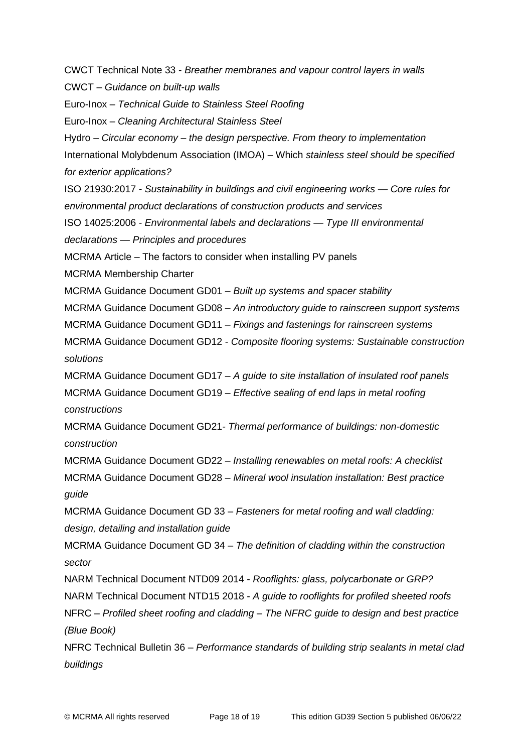CWCT Technical Note 33 - *Breather membranes and vapour control layers in walls* CWCT – *Guidance on built-up walls* Euro-Inox – *Technical Guide to Stainless Steel Roofing* Euro-Inox – *Cleaning Architectural Stainless Steel* Hydro – *Circular economy – the design perspective. From theory to implementation* International Molybdenum Association (IMOA) – Which *stainless steel should be specified for exterior applications?* ISO 21930:2017 *- Sustainability in buildings and civil engineering works — Core rules for environmental product declarations of construction products and services* ISO 14025:2006 *- Environmental labels and declarations — Type III environmental declarations — Principles and procedures* MCRMA Article – The factors to consider when installing PV panels MCRMA Membership Charter MCRMA Guidance Document GD01 – *Built up systems and spacer stability* MCRMA Guidance Document GD08 – *An introductory guide to rainscreen support systems* MCRMA Guidance Document GD11 – *Fixings and fastenings for rainscreen systems* MCRMA Guidance Document GD12 - *Composite flooring systems: Sustainable construction solutions* MCRMA Guidance Document GD17 – *A guide to site installation of insulated roof panels* MCRMA Guidance Document GD19 – *Effective sealing of end laps in metal roofing constructions* MCRMA Guidance Document GD21*- Thermal performance of buildings: non-domestic construction* MCRMA Guidance Document GD22 – *Installing renewables on metal roofs: A checklist*  MCRMA Guidance Document GD28 – *Mineral wool insulation installation: Best practice guide*  MCRMA Guidance Document GD 33 – *Fasteners for metal roofing and wall cladding: design, detailing and installation guide* MCRMA Guidance Document GD 34 – *The definition of cladding within the construction sector* NARM Technical Document NTD09 2014 - *Rooflights: glass, polycarbonate or GRP?* NARM Technical Document NTD15 2018 - *A guide to rooflights for profiled sheeted roofs* NFRC – *Profiled sheet roofing and cladding – The NFRC guide to design and best practice (Blue Book)* NFRC Technical Bulletin 36 – *Performance standards of building strip sealants in metal clad buildings*